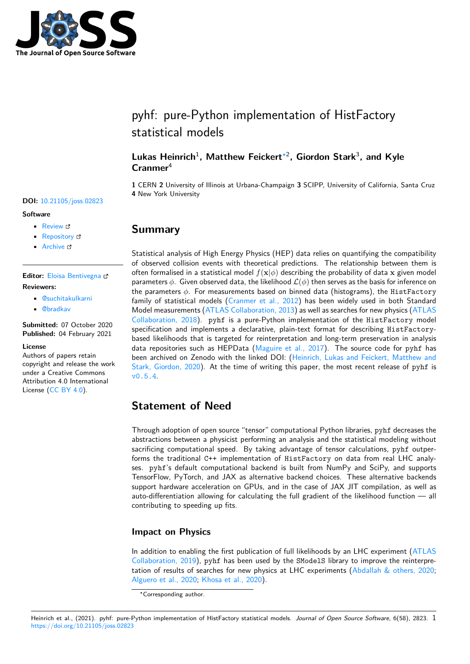

# pyhf: pure-Python implementation of HistFactory statistical models

### **Lukas Heinrich**<sup>1</sup> **, Matthew Feickert**∗2 **, Giordon Stark**<sup>3</sup> **, and Kyle Cranmer**<sup>4</sup>

**1** CERN **2** University of Illinois at Urbana-Champaign **3** SCIPP, University of California, Santa Cruz **4** New York University

#### **DOI:** [10.21105/joss.02823](https://doi.org/10.21105/joss.02823)

#### **Software**

- [Review](https://github.com/openjournals/joss-reviews/issues/2823) &
- [Repository](https://github.com/scikit-hep/pyhf) &
- [Archive](https://doi.org/10.5281/zenodo.4318533)

**Editor:** [Eloisa Bentivegna](https://researcher.watson.ibm.com/person/ibm-Eloisa.Bentivegna) **Reviewers:**

- [@suchitakulkarni](https://github.com/suchitakulkarni)
	- [@bradkav](https://github.com/bradkav)

**Submitted:** 07 October 2020 **Published:** 04 February 2021

#### **License**

Authors of papers retain copyright and release the work under a Creative Commons Attribution 4.0 International License ([CC BY 4.0\)](http://creativecommons.org/licenses/by/4.0/).

### **Summary**

Statistical analysis of High Energy Physics (HEP) data relies on quantifying the compatibility of observed collision events with theoretical predictions. The relationship between them is often formalised in a statistical model  $f(\mathbf{x}|\phi)$  describing the probability of data  $\mathbf{x}$  given model parameters *ϕ*. Given observed data, the likelihood *L*(*ϕ*) then serves as the basis for inference on the parameters *ϕ*. For measurements based on binned data (histograms), the HistFactory family of statistical models [\(Cranmer et al., 2012](#page-1-0)) has been widely used in both Standard Model measurements [\(ATLAS Collaboration, 2013\)](#page-1-1) as well as searches for new physics ([ATLAS](#page-1-2) [Collaboration, 2018\)](#page-1-2). pyhf is a pure-Python implementation of the HistFactory model specifcation and implements a declarative, plain-text format for describing HistFactorybased likelihoods that is targeted for reinterpretation and long-term preservation in analysis data repositories such as HEPData [\(Maguire et al., 2017\)](#page-1-3). The source code for pyhf has been archived on Zenodo with the linked DOI: [\(Heinrich, Lukas and Feickert, Matthew and](#page-1-4) [Stark, Giordon, 2020\)](#page-1-4). At the time of writing this paper, the most recent release of pyhf is [v0.5.4](https://doi.org/10.5281/zenodo.4318533).

### **Statement of Need**

Through adoption of open source "tensor" computational Python libraries, pyhf decreases the abstractions between a physicist performing an analysis and the statistical modeling without sacrificing computational speed. By taking advantage of tensor calculations, pyhf outperforms the traditional C++ implementation of HistFactory on data from real LHC analyses. pyhf's default computational backend is built from NumPy and SciPy, and supports TensorFlow, PyTorch, and JAX as alternative backend choices. These alternative backends support hardware acceleration on GPUs, and in the case of JAX JIT compilation, as well as auto-diferentiation allowing for calculating the full gradient of the likelihood function — all contributing to speeding up fits.

#### **Impact on Physics**

In addition to enabling the frst publication of full likelihoods by an LHC experiment ([ATLAS](#page-1-5) [Collaboration, 2019\)](#page-1-5), pyhf has been used by the SModelS library to improve the reinterpretation of results of searches for new physics at LHC experiments [\(Abdallah & others, 2020;](#page-1-6) [Alguero et al., 2020](#page-1-7); [Khosa et al., 2020\)](#page-1-8).

<sup>∗</sup>Corresponding author.

Heinrich et al., (2021). pyhf: pure-Python implementation of HistFactory statistical models. *Journal of Open Source Software*, 6(58), 2823. 1<https://doi.org/10.21105/joss.02823>